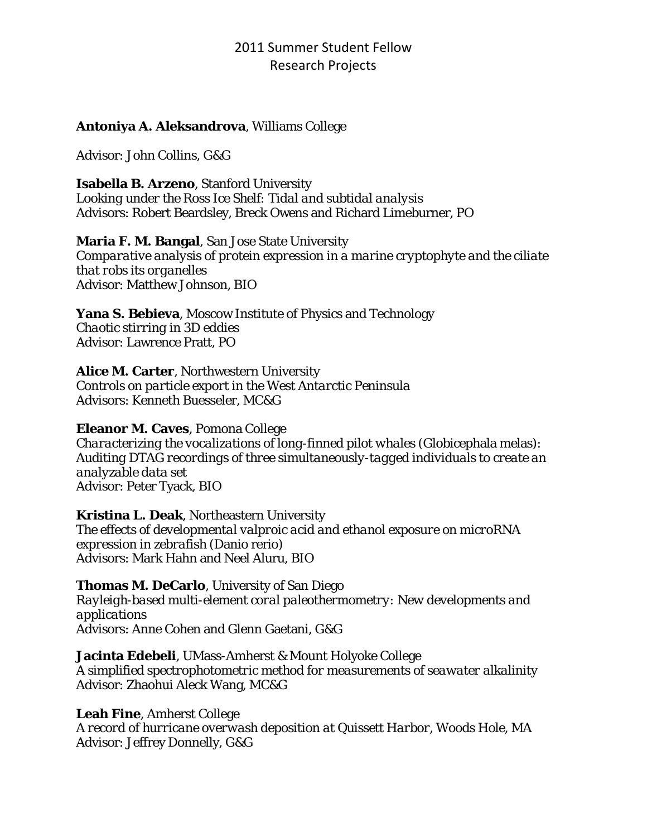## **Antoniya A. Aleksandrova**, Williams College

Advisor: John Collins, G&G

**Isabella B. Arzeno**, Stanford University

*Looking under the Ross Ice Shelf: Tidal and subtidal analysis*  Advisors: Robert Beardsley, Breck Owens and Richard Limeburner, PO

#### **Maria F. M. Bangal**, San Jose State University

*Comparative analysis of protein expression in a marine cryptophyte and the ciliate that robs its organelles*  Advisor: Matthew Johnson, BIO

**Yana S. Bebieva**, Moscow Institute of Physics and Technology *Chaotic stirring in 3D eddies*  Advisor: Lawrence Pratt, PO

## **Alice M. Carter**, Northwestern University

*Controls on particle export in the West Antarctic Peninsula*  Advisors: Kenneth Buesseler, MC&G

#### **Eleanor M. Caves**, Pomona College

*Characterizing the vocalizations of long-finned pilot whales (*Globicephala melas*): Auditing DTAG recordings of three simultaneously-tagged individuals to create an analyzable data set*  Advisor: Peter Tyack, BIO

#### **Kristina L. Deak**, Northeastern University

*The effects of developmental valproic acid and ethanol exposure on microRNA expression in zebrafish (*Danio rerio*)*  Advisors: Mark Hahn and Neel Aluru, BIO

#### **Thomas M. DeCarlo**, University of San Diego

*Rayleigh-based multi-element coral paleothermometry: New developments and applications*  Advisors: Anne Cohen and Glenn Gaetani, G&G

# **Jacinta Edebeli**, UMass-Amherst & Mount Holyoke College

*A simplified spectrophotometric method for measurements of seawater alkalinity*  Advisor: Zhaohui Aleck Wang, MC&G

#### **Leah Fine**, Amherst College

*A record of hurricane overwash deposition at Quissett Harbor, Woods Hole, MA*  Advisor: Jeffrey Donnelly, G&G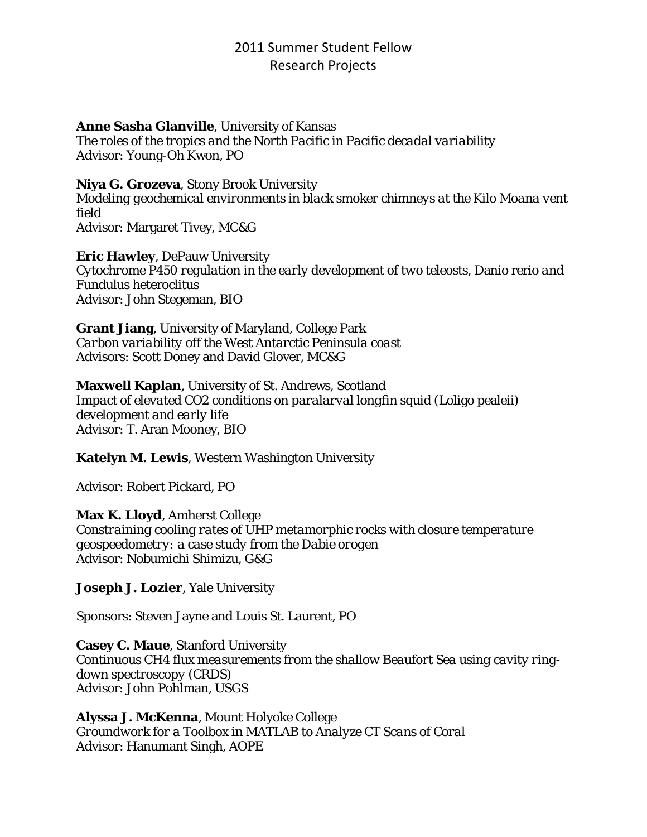#### **Anne Sasha Glanville**, University of Kansas

*The roles of the tropics and the North Pacific in Pacific decadal variability*  Advisor: Young-Oh Kwon, PO

#### **Niya G. Grozeva**, Stony Brook University

*Modeling geochemical environments in black smoker chimneys at the Kilo Moana vent field*  Advisor: Margaret Tivey, MC&G

**Eric Hawley**, DePauw University *Cytochrome P450 regulation in the early development of two teleosts,* Danio rerio *and* Fundulus heteroclitus Advisor: John Stegeman, BIO

**Grant Jiang**, University of Maryland, College Park *Carbon variability off the West Antarctic Peninsula coast* Advisors: Scott Doney and David Glover, MC&G

#### **Maxwell Kaplan**, University of St. Andrews, Scotland

*Impact of elevated CO2 conditions on paralarval longfin squid (*Loligo pealeii*) development and early life*  Advisor: T. Aran Mooney, BIO

#### **Katelyn M. Lewis**, Western Washington University

Advisor: Robert Pickard, PO

#### **Max K. Lloyd**, Amherst College

*Constraining cooling rates of UHP metamorphic rocks with closure temperature geospeedometry: a case study from the Dabie orogen* Advisor: Nobumichi Shimizu, G&G

#### **Joseph J. Lozier**, Yale University

Sponsors: Steven Jayne and Louis St. Laurent, PO

**Casey C. Maue**, Stanford University *Continuous CH4 flux measurements from the shallow Beaufort Sea using cavity ringdown spectroscopy (CRDS)*  Advisor: John Pohlman, USGS

**Alyssa J. McKenna**, Mount Holyoke College *Groundwork for a Toolbox in MATLAB to Analyze CT Scans of Coral* Advisor: Hanumant Singh, AOPE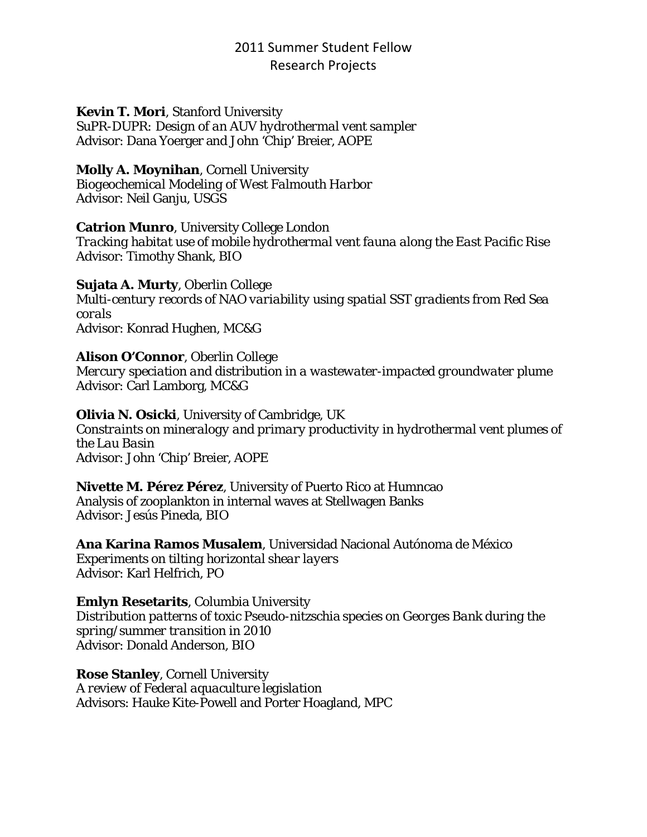#### **Kevin T. Mori**, Stanford University

*SuPR-DUPR: Design of an AUV hydrothermal vent sampler*  Advisor: Dana Yoerger and John 'Chip' Breier, AOPE

#### **Molly A. Moynihan**, Cornell University

*Biogeochemical Modeling of West Falmouth Harbor* Advisor: Neil Ganju, USGS

#### **Catrion Munro**, University College London

*Tracking habitat use of mobile hydrothermal vent fauna along the East Pacific Rise*  Advisor: Timothy Shank, BIO

## **Sujata A. Murty**, Oberlin College

*Multi-century records of NAO variability using spatial SST gradients from Red Sea corals*  Advisor: Konrad Hughen, MC&G

## **Alison O'Connor**, Oberlin College

*Mercury speciation and distribution in a wastewater-impacted groundwater plume*  Advisor: Carl Lamborg, MC&G

#### **Olivia N. Osicki**, University of Cambridge, UK

*Constraints on mineralogy and primary productivity in hydrothermal vent plumes of the Lau Basin*  Advisor: John 'Chip' Breier, AOPE

# **Nivette M. Pérez Pérez**, University of Puerto Rico at Humncao

Analysis of zooplankton in internal waves at Stellwagen Banks Advisor: Jesús Pineda, BIO

**Ana Karina Ramos Musalem**, Universidad Nacional Autónoma de México *Experiments on tilting horizontal shear layers*  Advisor: Karl Helfrich, PO

#### **Emlyn Resetarits**, Columbia University

*Distribution patterns of toxic* Pseudo-nitzschia *species on Georges Bank during the spring/summer transition in 2010*  Advisor: Donald Anderson, BIO

**Rose Stanley**, Cornell University *A review of Federal aquaculture legislation*  Advisors: Hauke Kite-Powell and Porter Hoagland, MPC